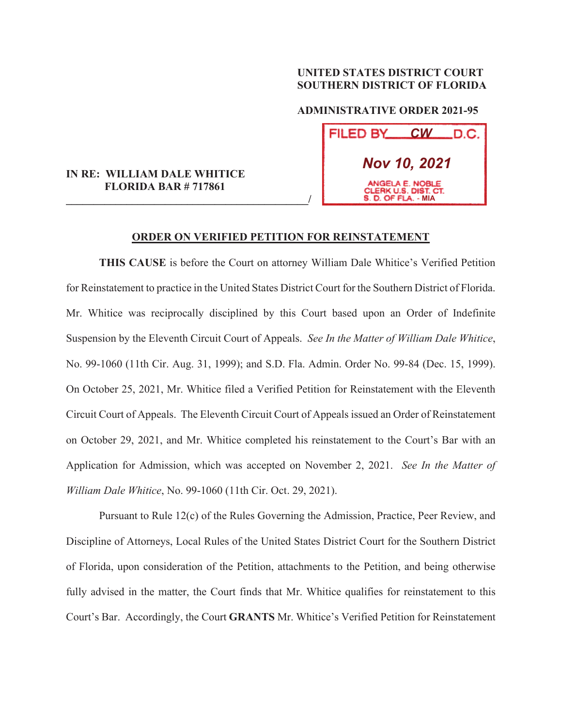## **UNITED STATES DISTRICT COURT SOUTHERN DISTRICT OF FLORIDA**

 **ADMINISTRATIVE ORDER 2021-95** 

| FILED BY                                                       | $\boldsymbol{C}\boldsymbol{W}$ | _D.C. |
|----------------------------------------------------------------|--------------------------------|-------|
| <b>Nov 10, 2021</b>                                            |                                |       |
| ANGELA E. NOBLE<br>CLERK U.S. DIST. CT.<br>S. D. OF FLA. - MIA |                                |       |

## **IN RE: WILLIAM DALE WHITICE FLORIDA BAR # 717861**

**\_\_\_\_\_\_\_\_\_\_\_\_\_\_\_\_\_\_\_\_\_\_\_\_\_\_\_\_\_\_\_\_\_\_\_\_\_\_\_\_\_\_\_\_/**

## **ORDER ON VERIFIED PETITION FOR REINSTATEMENT**

**THIS CAUSE** is before the Court on attorney William Dale Whitice's Verified Petition for Reinstatement to practice in the United States District Court for the Southern District of Florida. Mr. Whitice was reciprocally disciplined by this Court based upon an Order of Indefinite Suspension by the Eleventh Circuit Court of Appeals. *See In the Matter of William Dale Whitice*, No. 99-1060 (11th Cir. Aug. 31, 1999); and S.D. Fla. Admin. Order No. 99-84 (Dec. 15, 1999). On October 25, 2021, Mr. Whitice filed a Verified Petition for Reinstatement with the Eleventh Circuit Court of Appeals. The Eleventh Circuit Court of Appeals issued an Order of Reinstatement on October 29, 2021, and Mr. Whitice completed his reinstatement to the Court's Bar with an Application for Admission, which was accepted on November 2, 2021. *See In the Matter of William Dale Whitice*, No. 99-1060 (11th Cir. Oct. 29, 2021).

 Pursuant to Rule 12(c) of the Rules Governing the Admission, Practice, Peer Review, and Discipline of Attorneys, Local Rules of the United States District Court for the Southern District of Florida, upon consideration of the Petition, attachments to the Petition, and being otherwise fully advised in the matter, the Court finds that Mr. Whitice qualifies for reinstatement to this Court's Bar. Accordingly, the Court **GRANTS** Mr. Whitice's Verified Petition for Reinstatement